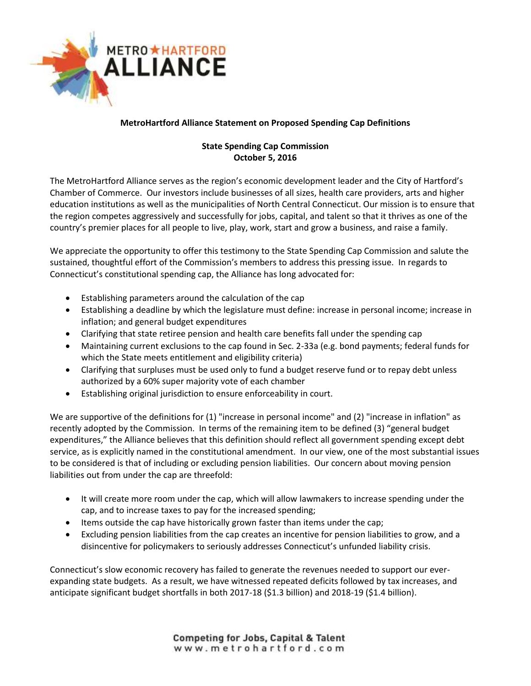

## **MetroHartford Alliance Statement on Proposed Spending Cap Definitions**

## **State Spending Cap Commission October 5, 2016**

The MetroHartford Alliance serves as the region's economic development leader and the City of Hartford's Chamber of Commerce. Our investors include businesses of all sizes, health care providers, arts and higher education institutions as well as the municipalities of North Central Connecticut. Our mission is to ensure that the region competes aggressively and successfully for jobs, capital, and talent so that it thrives as one of the country's premier places for all people to live, play, work, start and grow a business, and raise a family.

We appreciate the opportunity to offer this testimony to the State Spending Cap Commission and salute the sustained, thoughtful effort of the Commission's members to address this pressing issue. In regards to Connecticut's constitutional spending cap, the Alliance has long advocated for:

- Establishing parameters around the calculation of the cap
- Establishing a deadline by which the legislature must define: increase in personal income; increase in inflation; and general budget expenditures
- Clarifying that state retiree pension and health care benefits fall under the spending cap
- Maintaining current exclusions to the cap found in Sec. 2-33a (e.g. bond payments; federal funds for which the State meets entitlement and eligibility criteria)
- Clarifying that surpluses must be used only to fund a budget reserve fund or to repay debt unless authorized by a 60% super majority vote of each chamber
- Establishing original jurisdiction to ensure enforceability in court.

We are supportive of the definitions for (1) "increase in personal income" and (2) "increase in inflation" as recently adopted by the Commission. In terms of the remaining item to be defined (3) "general budget expenditures," the Alliance believes that this definition should reflect all government spending except debt service, as is explicitly named in the constitutional amendment. In our view, one of the most substantial issues to be considered is that of including or excluding pension liabilities. Our concern about moving pension liabilities out from under the cap are threefold:

- It will create more room under the cap, which will allow lawmakers to increase spending under the cap, and to increase taxes to pay for the increased spending;
- Items outside the cap have historically grown faster than items under the cap;
- Excluding pension liabilities from the cap creates an incentive for pension liabilities to grow, and a disincentive for policymakers to seriously addresses Connecticut's unfunded liability crisis.

Connecticut's slow economic recovery has failed to generate the revenues needed to support our everexpanding state budgets. As a result, we have witnessed repeated deficits followed by tax increases, and anticipate significant budget shortfalls in both 2017-18 (\$1.3 billion) and 2018-19 (\$1.4 billion).

> **Competing for Jobs, Capital & Talent** www.metrohartford.com